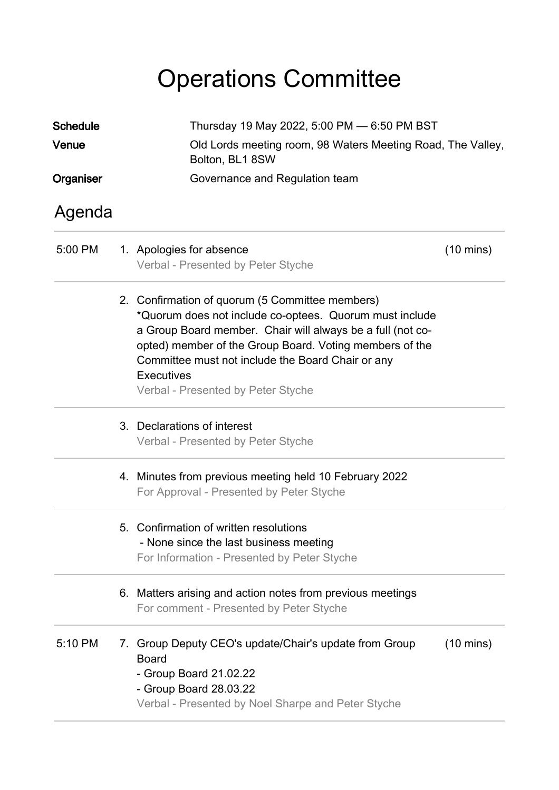# Operations Committee

| <b>Schedule</b> | Thursday 19 May 2022, 5:00 PM - 6:50 PM BST                                                                                                                                                                                                                                                                                                         |                     |  |
|-----------------|-----------------------------------------------------------------------------------------------------------------------------------------------------------------------------------------------------------------------------------------------------------------------------------------------------------------------------------------------------|---------------------|--|
| Venue           | Old Lords meeting room, 98 Waters Meeting Road, The Valley,<br>Bolton, BL1 8SW                                                                                                                                                                                                                                                                      |                     |  |
| Organiser       | Governance and Regulation team                                                                                                                                                                                                                                                                                                                      |                     |  |
| Agenda          |                                                                                                                                                                                                                                                                                                                                                     |                     |  |
| 5:00 PM         | 1. Apologies for absence<br>Verbal - Presented by Peter Styche                                                                                                                                                                                                                                                                                      | $(10 \text{ mins})$ |  |
|                 | 2. Confirmation of quorum (5 Committee members)<br>*Quorum does not include co-optees. Quorum must include<br>a Group Board member. Chair will always be a full (not co-<br>opted) member of the Group Board. Voting members of the<br>Committee must not include the Board Chair or any<br><b>Executives</b><br>Verbal - Presented by Peter Styche |                     |  |
|                 | 3. Declarations of interest<br>Verbal - Presented by Peter Styche                                                                                                                                                                                                                                                                                   |                     |  |
|                 | 4. Minutes from previous meeting held 10 February 2022<br>For Approval - Presented by Peter Styche                                                                                                                                                                                                                                                  |                     |  |
|                 | 5. Confirmation of written resolutions<br>- None since the last business meeting<br>For Information - Presented by Peter Styche                                                                                                                                                                                                                     |                     |  |
|                 | 6. Matters arising and action notes from previous meetings<br>For comment - Presented by Peter Styche                                                                                                                                                                                                                                               |                     |  |
| 5:10 PM         | 7. Group Deputy CEO's update/Chair's update from Group<br><b>Board</b><br>- Group Board 21.02.22<br>- Group Board 28.03.22<br>Verbal - Presented by Noel Sharpe and Peter Styche                                                                                                                                                                    | $(10 \text{ mins})$ |  |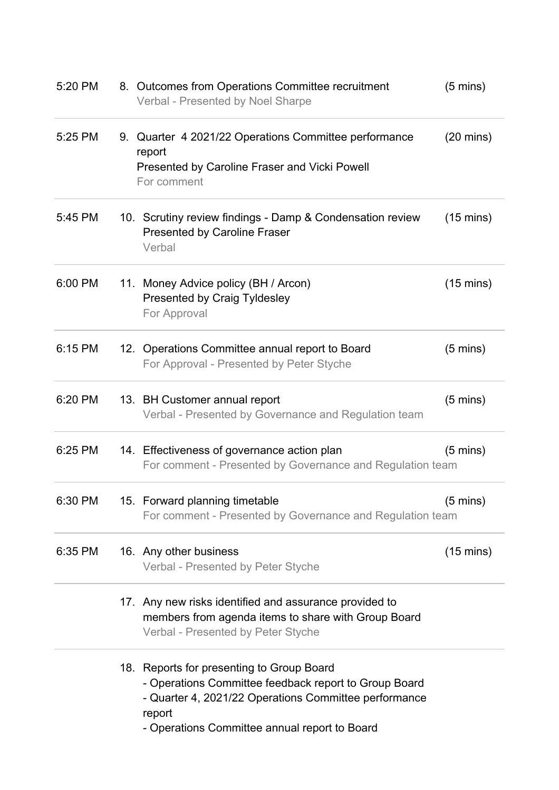| 5:20 PM | 8. Outcomes from Operations Committee recruitment<br>Verbal - Presented by Noel Sharpe                                                                                                                                 | $(5 \text{ mins})$  |
|---------|------------------------------------------------------------------------------------------------------------------------------------------------------------------------------------------------------------------------|---------------------|
| 5:25 PM | 9. Quarter 4 2021/22 Operations Committee performance<br>report<br>Presented by Caroline Fraser and Vicki Powell<br>For comment                                                                                        | $(20 \text{ mins})$ |
| 5:45 PM | 10. Scrutiny review findings - Damp & Condensation review<br><b>Presented by Caroline Fraser</b><br>Verbal                                                                                                             | $(15 \text{ mins})$ |
| 6:00 PM | 11. Money Advice policy (BH / Arcon)<br><b>Presented by Craig Tyldesley</b><br>For Approval                                                                                                                            | $(15 \text{ mins})$ |
| 6:15 PM | 12. Operations Committee annual report to Board<br>For Approval - Presented by Peter Styche                                                                                                                            | $(5 \text{ mins})$  |
| 6:20 PM | 13. BH Customer annual report<br>Verbal - Presented by Governance and Regulation team                                                                                                                                  | $(5 \text{ mins})$  |
| 6:25 PM | 14. Effectiveness of governance action plan<br>For comment - Presented by Governance and Regulation team                                                                                                               | $(5 \text{ mins})$  |
| 6:30 PM | 15. Forward planning timetable<br>For comment - Presented by Governance and Regulation team                                                                                                                            | $(5 \text{ mins})$  |
| 6:35 PM | 16. Any other business<br>Verbal - Presented by Peter Styche                                                                                                                                                           | $(15 \text{ mins})$ |
|         | 17. Any new risks identified and assurance provided to<br>members from agenda items to share with Group Board<br>Verbal - Presented by Peter Styche                                                                    |                     |
|         | 18. Reports for presenting to Group Board<br>- Operations Committee feedback report to Group Board<br>- Quarter 4, 2021/22 Operations Committee performance<br>report<br>- Operations Committee annual report to Board |                     |